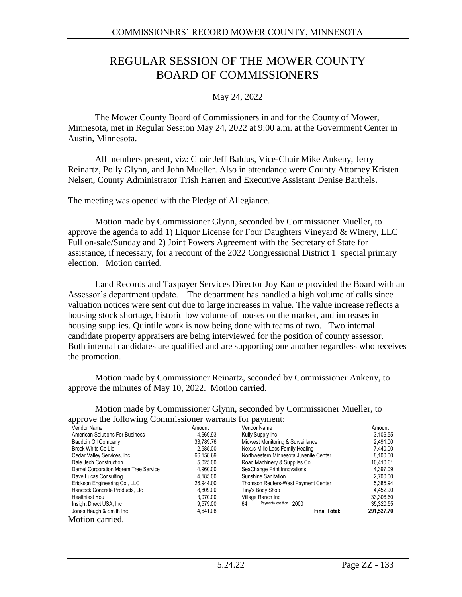# REGULAR SESSION OF THE MOWER COUNTY BOARD OF COMMISSIONERS

### May 24, 2022

The Mower County Board of Commissioners in and for the County of Mower, Minnesota, met in Regular Session May 24, 2022 at 9:00 a.m. at the Government Center in Austin, Minnesota.

All members present, viz: Chair Jeff Baldus, Vice-Chair Mike Ankeny, Jerry Reinartz, Polly Glynn, and John Mueller. Also in attendance were County Attorney Kristen Nelsen, County Administrator Trish Harren and Executive Assistant Denise Barthels.

The meeting was opened with the Pledge of Allegiance.

Motion made by Commissioner Glynn, seconded by Commissioner Mueller, to approve the agenda to add 1) Liquor License for Four Daughters Vineyard & Winery, LLC Full on-sale/Sunday and 2) Joint Powers Agreement with the Secretary of State for assistance, if necessary, for a recount of the 2022 Congressional District 1 special primary election. Motion carried.

Land Records and Taxpayer Services Director Joy Kanne provided the Board with an Assessor's department update. The department has handled a high volume of calls since valuation notices were sent out due to large increases in value. The value increase reflects a housing stock shortage, historic low volume of houses on the market, and increases in housing supplies. Quintile work is now being done with teams of two. Two internal candidate property appraisers are being interviewed for the position of county assessor. Both internal candidates are qualified and are supporting one another regardless who receives the promotion.

Motion made by Commissioner Reinartz, seconded by Commissioner Ankeny, to approve the minutes of May 10, 2022. Motion carried.

Motion made by Commissioner Glynn, seconded by Commissioner Mueller, to approve the following Commissioner warrants for payment:

| Vendor Name                            | Amount    | Vendor Name                            | Amount     |
|----------------------------------------|-----------|----------------------------------------|------------|
| <b>American Solutions For Business</b> | 4,669.93  | Kully Supply Inc                       | 3,106.55   |
| Baudoin Oil Company                    | 33.789.76 | Midwest Monitoring & Surveillance      | 2,491.00   |
| Brock White Co Llc                     | 2.585.00  | Nexus-Mille Lacs Family Healing        | 7.440.00   |
| Cedar Valley Services, Inc.            | 66.158.69 | Northwestern Minnesota Juvenile Center | 8,100.00   |
| Dale Jech Construction                 | 5.025.00  | Road Machinery & Supplies Co.          | 10,410.61  |
| Damel Corporation Morem Tree Service   | 4.960.00  | SeaChange Print Innovations            | 4.397.09   |
| Dave Lucas Consulting                  | 4.185.00  | Sunshine Sanitation                    | 2,700.00   |
| Erickson Engineering Co., LLC          | 26.944.00 | Thomson Reuters-West Payment Center    | 5,385.94   |
| Hancock Concrete Products, Llc         | 8,809.00  | Tiny's Body Shop                       | 4.452.90   |
| <b>Healthiest You</b>                  | 3.070.00  | Village Ranch Inc                      | 33,306.60  |
| Insight Direct USA, Inc.               | 9.579.00  | Payments less than 2000<br>64          | 35,320.55  |
| Jones Haugh & Smith Inc                | 4.641.08  | <b>Final Total:</b>                    | 291,527.70 |
| Motion carried.                        |           |                                        |            |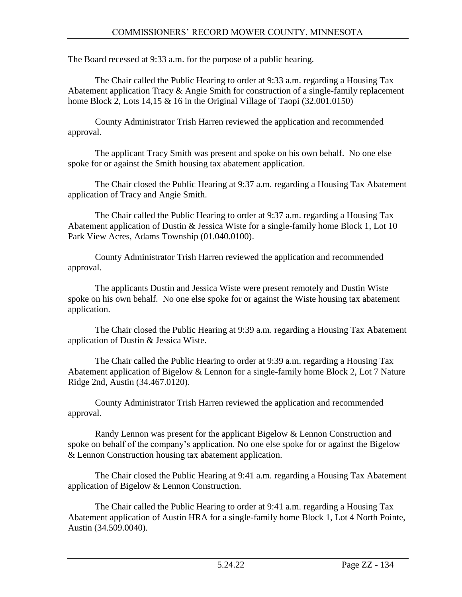The Board recessed at 9:33 a.m. for the purpose of a public hearing.

The Chair called the Public Hearing to order at 9:33 a.m. regarding a Housing Tax Abatement application Tracy & Angie Smith for construction of a single-family replacement home Block 2, Lots  $14,15 \& 16$  in the Original Village of Taopi (32.001.0150)

County Administrator Trish Harren reviewed the application and recommended approval.

The applicant Tracy Smith was present and spoke on his own behalf. No one else spoke for or against the Smith housing tax abatement application.

The Chair closed the Public Hearing at 9:37 a.m. regarding a Housing Tax Abatement application of Tracy and Angie Smith.

The Chair called the Public Hearing to order at 9:37 a.m. regarding a Housing Tax Abatement application of Dustin & Jessica Wiste for a single-family home Block 1, Lot 10 Park View Acres, Adams Township (01.040.0100).

County Administrator Trish Harren reviewed the application and recommended approval.

The applicants Dustin and Jessica Wiste were present remotely and Dustin Wiste spoke on his own behalf. No one else spoke for or against the Wiste housing tax abatement application.

The Chair closed the Public Hearing at 9:39 a.m. regarding a Housing Tax Abatement application of Dustin & Jessica Wiste.

The Chair called the Public Hearing to order at 9:39 a.m. regarding a Housing Tax Abatement application of Bigelow & Lennon for a single-family home Block 2, Lot 7 Nature Ridge 2nd, Austin (34.467.0120).

County Administrator Trish Harren reviewed the application and recommended approval.

Randy Lennon was present for the applicant Bigelow & Lennon Construction and spoke on behalf of the company's application. No one else spoke for or against the Bigelow & Lennon Construction housing tax abatement application.

The Chair closed the Public Hearing at 9:41 a.m. regarding a Housing Tax Abatement application of Bigelow & Lennon Construction.

The Chair called the Public Hearing to order at 9:41 a.m. regarding a Housing Tax Abatement application of Austin HRA for a single-family home Block 1, Lot 4 North Pointe, Austin (34.509.0040).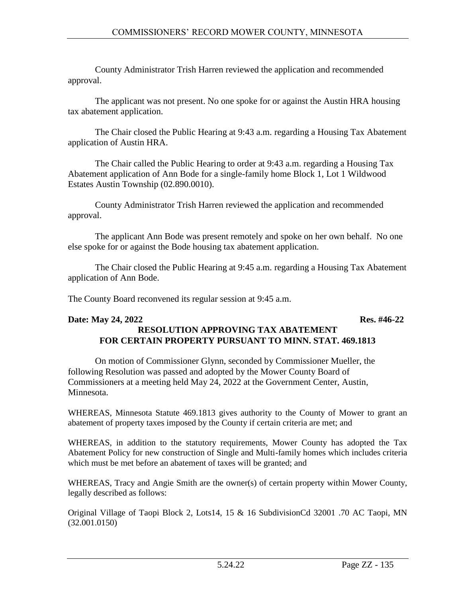County Administrator Trish Harren reviewed the application and recommended approval.

The applicant was not present. No one spoke for or against the Austin HRA housing tax abatement application.

The Chair closed the Public Hearing at 9:43 a.m. regarding a Housing Tax Abatement application of Austin HRA.

The Chair called the Public Hearing to order at 9:43 a.m. regarding a Housing Tax Abatement application of Ann Bode for a single-family home Block 1, Lot 1 Wildwood Estates Austin Township (02.890.0010).

County Administrator Trish Harren reviewed the application and recommended approval.

The applicant Ann Bode was present remotely and spoke on her own behalf. No one else spoke for or against the Bode housing tax abatement application.

The Chair closed the Public Hearing at 9:45 a.m. regarding a Housing Tax Abatement application of Ann Bode.

The County Board reconvened its regular session at 9:45 a.m.

#### **Date: May 24, 2022 Res. #46-22 RESOLUTION APPROVING TAX ABATEMENT FOR CERTAIN PROPERTY PURSUANT TO MINN. STAT. 469.1813**

On motion of Commissioner Glynn, seconded by Commissioner Mueller, the following Resolution was passed and adopted by the Mower County Board of Commissioners at a meeting held May 24, 2022 at the Government Center, Austin, Minnesota.

WHEREAS, Minnesota Statute 469.1813 gives authority to the County of Mower to grant an abatement of property taxes imposed by the County if certain criteria are met; and

WHEREAS, in addition to the statutory requirements, Mower County has adopted the Tax Abatement Policy for new construction of Single and Multi-family homes which includes criteria which must be met before an abatement of taxes will be granted; and

WHEREAS, Tracy and Angie Smith are the owner(s) of certain property within Mower County, legally described as follows:

Original Village of Taopi Block 2, Lots14, 15 & 16 SubdivisionCd 32001 .70 AC Taopi, MN (32.001.0150)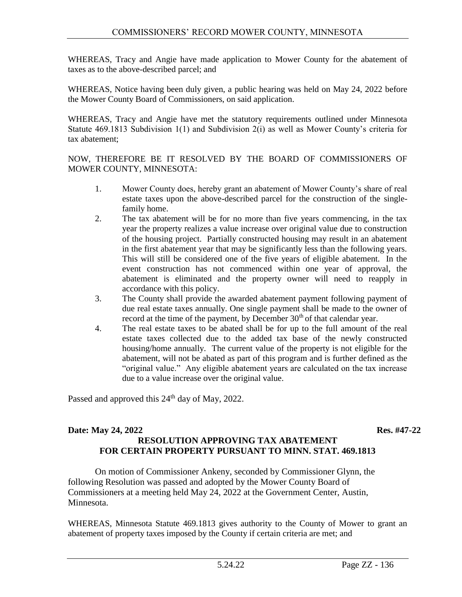WHEREAS, Tracy and Angie have made application to Mower County for the abatement of taxes as to the above-described parcel; and

WHEREAS, Notice having been duly given, a public hearing was held on May 24, 2022 before the Mower County Board of Commissioners, on said application.

WHEREAS, Tracy and Angie have met the statutory requirements outlined under Minnesota Statute 469.1813 Subdivision 1(1) and Subdivision 2(i) as well as Mower County's criteria for tax abatement;

NOW, THEREFORE BE IT RESOLVED BY THE BOARD OF COMMISSIONERS OF MOWER COUNTY, MINNESOTA:

- 1. Mower County does, hereby grant an abatement of Mower County's share of real estate taxes upon the above-described parcel for the construction of the singlefamily home.
- 2. The tax abatement will be for no more than five years commencing, in the tax year the property realizes a value increase over original value due to construction of the housing project. Partially constructed housing may result in an abatement in the first abatement year that may be significantly less than the following years. This will still be considered one of the five years of eligible abatement. In the event construction has not commenced within one year of approval, the abatement is eliminated and the property owner will need to reapply in accordance with this policy.
- 3. The County shall provide the awarded abatement payment following payment of due real estate taxes annually. One single payment shall be made to the owner of record at the time of the payment, by December 30<sup>th</sup> of that calendar year.
- 4. The real estate taxes to be abated shall be for up to the full amount of the real estate taxes collected due to the added tax base of the newly constructed housing/home annually. The current value of the property is not eligible for the abatement, will not be abated as part of this program and is further defined as the "original value." Any eligible abatement years are calculated on the tax increase due to a value increase over the original value.

Passed and approved this  $24<sup>th</sup>$  day of May, 2022.

#### **Date: May 24, 2022 Res. #47-22 RESOLUTION APPROVING TAX ABATEMENT FOR CERTAIN PROPERTY PURSUANT TO MINN. STAT. 469.1813**

On motion of Commissioner Ankeny, seconded by Commissioner Glynn, the following Resolution was passed and adopted by the Mower County Board of Commissioners at a meeting held May 24, 2022 at the Government Center, Austin, Minnesota.

WHEREAS, Minnesota Statute 469.1813 gives authority to the County of Mower to grant an abatement of property taxes imposed by the County if certain criteria are met; and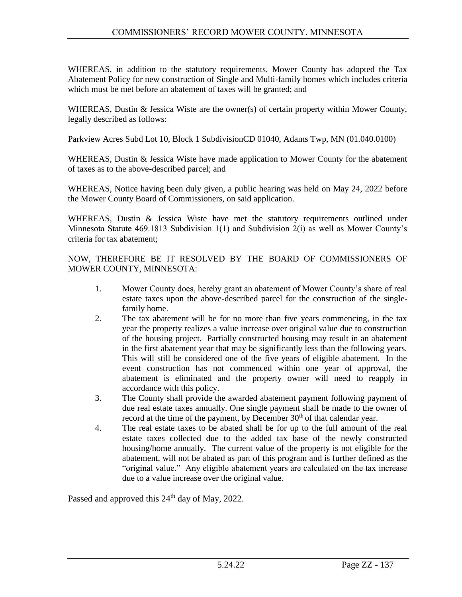WHEREAS, in addition to the statutory requirements, Mower County has adopted the Tax Abatement Policy for new construction of Single and Multi-family homes which includes criteria which must be met before an abatement of taxes will be granted; and

WHEREAS, Dustin & Jessica Wiste are the owner(s) of certain property within Mower County, legally described as follows:

Parkview Acres Subd Lot 10, Block 1 SubdivisionCD 01040, Adams Twp, MN (01.040.0100)

WHEREAS, Dustin & Jessica Wiste have made application to Mower County for the abatement of taxes as to the above-described parcel; and

WHEREAS, Notice having been duly given, a public hearing was held on May 24, 2022 before the Mower County Board of Commissioners, on said application.

WHEREAS, Dustin & Jessica Wiste have met the statutory requirements outlined under Minnesota Statute 469.1813 Subdivision 1(1) and Subdivision 2(i) as well as Mower County's criteria for tax abatement;

NOW, THEREFORE BE IT RESOLVED BY THE BOARD OF COMMISSIONERS OF MOWER COUNTY, MINNESOTA:

- 1. Mower County does, hereby grant an abatement of Mower County's share of real estate taxes upon the above-described parcel for the construction of the singlefamily home.
- 2. The tax abatement will be for no more than five years commencing, in the tax year the property realizes a value increase over original value due to construction of the housing project. Partially constructed housing may result in an abatement in the first abatement year that may be significantly less than the following years. This will still be considered one of the five years of eligible abatement. In the event construction has not commenced within one year of approval, the abatement is eliminated and the property owner will need to reapply in accordance with this policy.
- 3. The County shall provide the awarded abatement payment following payment of due real estate taxes annually. One single payment shall be made to the owner of record at the time of the payment, by December 30<sup>th</sup> of that calendar year.
- 4. The real estate taxes to be abated shall be for up to the full amount of the real estate taxes collected due to the added tax base of the newly constructed housing/home annually. The current value of the property is not eligible for the abatement, will not be abated as part of this program and is further defined as the "original value." Any eligible abatement years are calculated on the tax increase due to a value increase over the original value.

Passed and approved this  $24<sup>th</sup>$  day of May, 2022.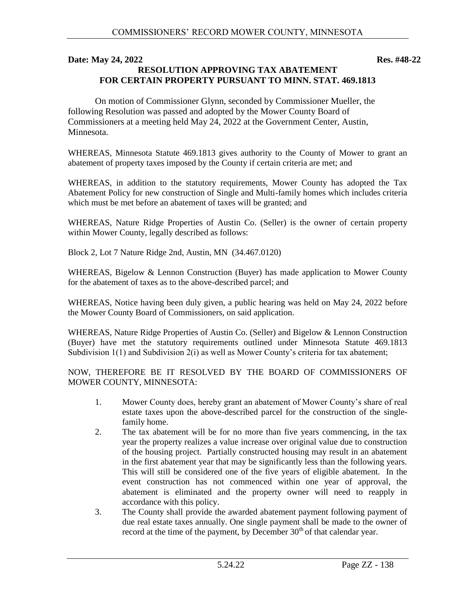#### **Date: May 24, 2022** Res. #48-22 **RESOLUTION APPROVING TAX ABATEMENT FOR CERTAIN PROPERTY PURSUANT TO MINN. STAT. 469.1813**

On motion of Commissioner Glynn, seconded by Commissioner Mueller, the following Resolution was passed and adopted by the Mower County Board of Commissioners at a meeting held May 24, 2022 at the Government Center, Austin, Minnesota.

WHEREAS, Minnesota Statute 469.1813 gives authority to the County of Mower to grant an abatement of property taxes imposed by the County if certain criteria are met; and

WHEREAS, in addition to the statutory requirements, Mower County has adopted the Tax Abatement Policy for new construction of Single and Multi-family homes which includes criteria which must be met before an abatement of taxes will be granted; and

WHEREAS, Nature Ridge Properties of Austin Co. (Seller) is the owner of certain property within Mower County, legally described as follows:

Block 2, Lot 7 Nature Ridge 2nd, Austin, MN (34.467.0120)

WHEREAS, Bigelow & Lennon Construction (Buyer) has made application to Mower County for the abatement of taxes as to the above-described parcel; and

WHEREAS, Notice having been duly given, a public hearing was held on May 24, 2022 before the Mower County Board of Commissioners, on said application.

WHEREAS, Nature Ridge Properties of Austin Co. (Seller) and Bigelow & Lennon Construction (Buyer) have met the statutory requirements outlined under Minnesota Statute 469.1813 Subdivision 1(1) and Subdivision 2(i) as well as Mower County's criteria for tax abatement;

NOW, THEREFORE BE IT RESOLVED BY THE BOARD OF COMMISSIONERS OF MOWER COUNTY, MINNESOTA:

- 1. Mower County does, hereby grant an abatement of Mower County's share of real estate taxes upon the above-described parcel for the construction of the singlefamily home.
- 2. The tax abatement will be for no more than five years commencing, in the tax year the property realizes a value increase over original value due to construction of the housing project. Partially constructed housing may result in an abatement in the first abatement year that may be significantly less than the following years. This will still be considered one of the five years of eligible abatement. In the event construction has not commenced within one year of approval, the abatement is eliminated and the property owner will need to reapply in accordance with this policy.
- 3. The County shall provide the awarded abatement payment following payment of due real estate taxes annually. One single payment shall be made to the owner of record at the time of the payment, by December  $30<sup>th</sup>$  of that calendar year.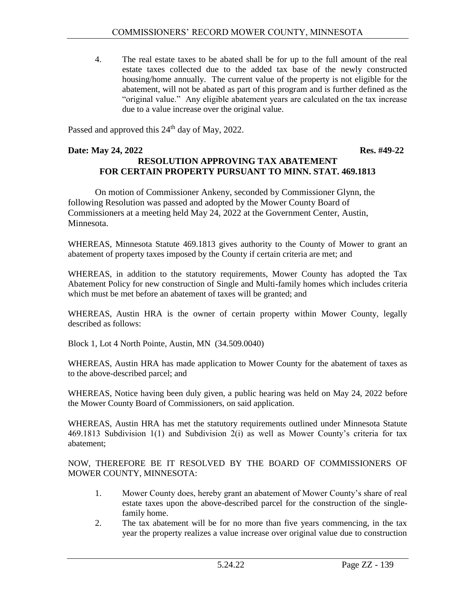4. The real estate taxes to be abated shall be for up to the full amount of the real estate taxes collected due to the added tax base of the newly constructed housing/home annually. The current value of the property is not eligible for the abatement, will not be abated as part of this program and is further defined as the "original value." Any eligible abatement years are calculated on the tax increase due to a value increase over the original value.

Passed and approved this  $24<sup>th</sup>$  day of May, 2022.

### **Date: May 24, 2022 Res. #49-22 RESOLUTION APPROVING TAX ABATEMENT FOR CERTAIN PROPERTY PURSUANT TO MINN. STAT. 469.1813**

On motion of Commissioner Ankeny, seconded by Commissioner Glynn, the following Resolution was passed and adopted by the Mower County Board of Commissioners at a meeting held May 24, 2022 at the Government Center, Austin, Minnesota.

WHEREAS, Minnesota Statute 469.1813 gives authority to the County of Mower to grant an abatement of property taxes imposed by the County if certain criteria are met; and

WHEREAS, in addition to the statutory requirements, Mower County has adopted the Tax Abatement Policy for new construction of Single and Multi-family homes which includes criteria which must be met before an abatement of taxes will be granted; and

WHEREAS, Austin HRA is the owner of certain property within Mower County, legally described as follows:

Block 1, Lot 4 North Pointe, Austin, MN (34.509.0040)

WHEREAS, Austin HRA has made application to Mower County for the abatement of taxes as to the above-described parcel; and

WHEREAS, Notice having been duly given, a public hearing was held on May 24, 2022 before the Mower County Board of Commissioners, on said application.

WHEREAS, Austin HRA has met the statutory requirements outlined under Minnesota Statute 469.1813 Subdivision 1(1) and Subdivision 2(i) as well as Mower County's criteria for tax abatement;

NOW, THEREFORE BE IT RESOLVED BY THE BOARD OF COMMISSIONERS OF MOWER COUNTY, MINNESOTA:

- 1. Mower County does, hereby grant an abatement of Mower County's share of real estate taxes upon the above-described parcel for the construction of the singlefamily home.
- 2. The tax abatement will be for no more than five years commencing, in the tax year the property realizes a value increase over original value due to construction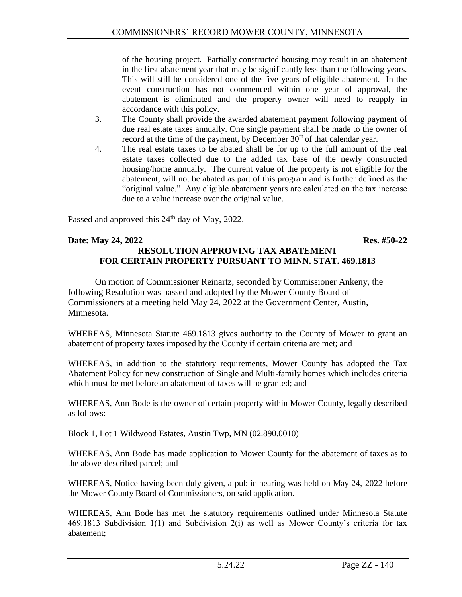of the housing project. Partially constructed housing may result in an abatement in the first abatement year that may be significantly less than the following years. This will still be considered one of the five years of eligible abatement. In the event construction has not commenced within one year of approval, the abatement is eliminated and the property owner will need to reapply in accordance with this policy.

- 3. The County shall provide the awarded abatement payment following payment of due real estate taxes annually. One single payment shall be made to the owner of record at the time of the payment, by December  $30<sup>th</sup>$  of that calendar year.
- 4. The real estate taxes to be abated shall be for up to the full amount of the real estate taxes collected due to the added tax base of the newly constructed housing/home annually. The current value of the property is not eligible for the abatement, will not be abated as part of this program and is further defined as the "original value." Any eligible abatement years are calculated on the tax increase due to a value increase over the original value.

Passed and approved this 24<sup>th</sup> day of May, 2022.

### **Date: May 24, 2022 Res. #50-22 RESOLUTION APPROVING TAX ABATEMENT FOR CERTAIN PROPERTY PURSUANT TO MINN. STAT. 469.1813**

On motion of Commissioner Reinartz, seconded by Commissioner Ankeny, the following Resolution was passed and adopted by the Mower County Board of Commissioners at a meeting held May 24, 2022 at the Government Center, Austin, Minnesota.

WHEREAS, Minnesota Statute 469.1813 gives authority to the County of Mower to grant an abatement of property taxes imposed by the County if certain criteria are met; and

WHEREAS, in addition to the statutory requirements, Mower County has adopted the Tax Abatement Policy for new construction of Single and Multi-family homes which includes criteria which must be met before an abatement of taxes will be granted; and

WHEREAS, Ann Bode is the owner of certain property within Mower County, legally described as follows:

Block 1, Lot 1 Wildwood Estates, Austin Twp, MN (02.890.0010)

WHEREAS, Ann Bode has made application to Mower County for the abatement of taxes as to the above-described parcel; and

WHEREAS, Notice having been duly given, a public hearing was held on May 24, 2022 before the Mower County Board of Commissioners, on said application.

WHEREAS, Ann Bode has met the statutory requirements outlined under Minnesota Statute 469.1813 Subdivision 1(1) and Subdivision 2(i) as well as Mower County's criteria for tax abatement;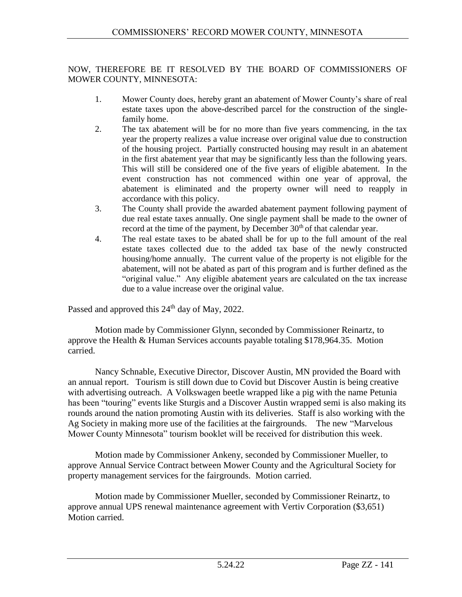#### NOW, THEREFORE BE IT RESOLVED BY THE BOARD OF COMMISSIONERS OF MOWER COUNTY, MINNESOTA:

- 1. Mower County does, hereby grant an abatement of Mower County's share of real estate taxes upon the above-described parcel for the construction of the singlefamily home.
- 2. The tax abatement will be for no more than five years commencing, in the tax year the property realizes a value increase over original value due to construction of the housing project. Partially constructed housing may result in an abatement in the first abatement year that may be significantly less than the following years. This will still be considered one of the five years of eligible abatement. In the event construction has not commenced within one year of approval, the abatement is eliminated and the property owner will need to reapply in accordance with this policy.
- 3. The County shall provide the awarded abatement payment following payment of due real estate taxes annually. One single payment shall be made to the owner of record at the time of the payment, by December  $30<sup>th</sup>$  of that calendar year.
- 4. The real estate taxes to be abated shall be for up to the full amount of the real estate taxes collected due to the added tax base of the newly constructed housing/home annually. The current value of the property is not eligible for the abatement, will not be abated as part of this program and is further defined as the "original value." Any eligible abatement years are calculated on the tax increase due to a value increase over the original value.

Passed and approved this  $24<sup>th</sup>$  day of May, 2022.

Motion made by Commissioner Glynn, seconded by Commissioner Reinartz, to approve the Health & Human Services accounts payable totaling \$178,964.35. Motion carried.

Nancy Schnable, Executive Director, Discover Austin, MN provided the Board with an annual report. Tourism is still down due to Covid but Discover Austin is being creative with advertising outreach. A Volkswagen beetle wrapped like a pig with the name Petunia has been "touring" events like Sturgis and a Discover Austin wrapped semi is also making its rounds around the nation promoting Austin with its deliveries. Staff is also working with the Ag Society in making more use of the facilities at the fairgrounds. The new "Marvelous Mower County Minnesota" tourism booklet will be received for distribution this week.

Motion made by Commissioner Ankeny, seconded by Commissioner Mueller, to approve Annual Service Contract between Mower County and the Agricultural Society for property management services for the fairgrounds. Motion carried.

Motion made by Commissioner Mueller, seconded by Commissioner Reinartz, to approve annual UPS renewal maintenance agreement with Vertiv Corporation (\$3,651) Motion carried.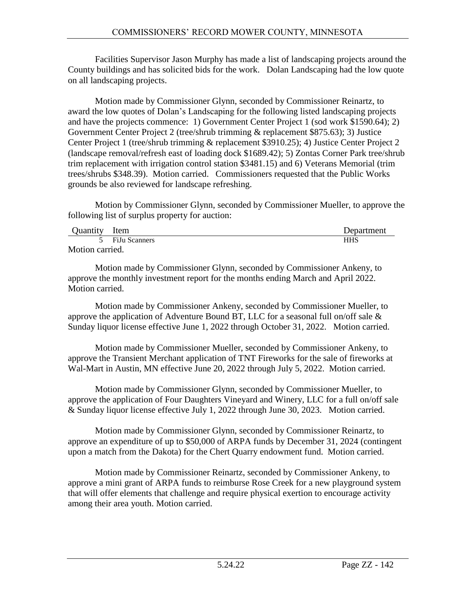Facilities Supervisor Jason Murphy has made a list of landscaping projects around the County buildings and has solicited bids for the work. Dolan Landscaping had the low quote on all landscaping projects.

Motion made by Commissioner Glynn, seconded by Commissioner Reinartz, to award the low quotes of Dolan's Landscaping for the following listed landscaping projects and have the projects commence: 1) Government Center Project 1 (sod work \$1590.64); 2) Government Center Project 2 (tree/shrub trimming & replacement \$875.63); 3) Justice Center Project 1 (tree/shrub trimming & replacement \$3910.25); 4) Justice Center Project 2 (landscape removal/refresh east of loading dock \$1689.42); 5) Zontas Corner Park tree/shrub trim replacement with irrigation control station \$3481.15) and 6) Veterans Memorial (trim trees/shrubs \$348.39). Motion carried. Commissioners requested that the Public Works grounds be also reviewed for landscape refreshing.

Motion by Commissioner Glynn, seconded by Commissioner Mueller, to approve the following list of surplus property for auction:

| <b>Ouantity</b> | Item            | Department |
|-----------------|-----------------|------------|
|                 | 5 FiJu Scanners | HHS        |
| Motion carried. |                 |            |

Motion made by Commissioner Glynn, seconded by Commissioner Ankeny, to approve the monthly investment report for the months ending March and April 2022. Motion carried.

Motion made by Commissioner Ankeny, seconded by Commissioner Mueller, to approve the application of Adventure Bound BT, LLC for a seasonal full on/off sale  $\&$ Sunday liquor license effective June 1, 2022 through October 31, 2022. Motion carried.

Motion made by Commissioner Mueller, seconded by Commissioner Ankeny, to approve the Transient Merchant application of TNT Fireworks for the sale of fireworks at Wal-Mart in Austin, MN effective June 20, 2022 through July 5, 2022. Motion carried.

Motion made by Commissioner Glynn, seconded by Commissioner Mueller, to approve the application of Four Daughters Vineyard and Winery, LLC for a full on/off sale & Sunday liquor license effective July 1, 2022 through June 30, 2023. Motion carried.

Motion made by Commissioner Glynn, seconded by Commissioner Reinartz, to approve an expenditure of up to \$50,000 of ARPA funds by December 31, 2024 (contingent upon a match from the Dakota) for the Chert Quarry endowment fund. Motion carried.

Motion made by Commissioner Reinartz, seconded by Commissioner Ankeny, to approve a mini grant of ARPA funds to reimburse Rose Creek for a new playground system that will offer elements that challenge and require physical exertion to encourage activity among their area youth. Motion carried.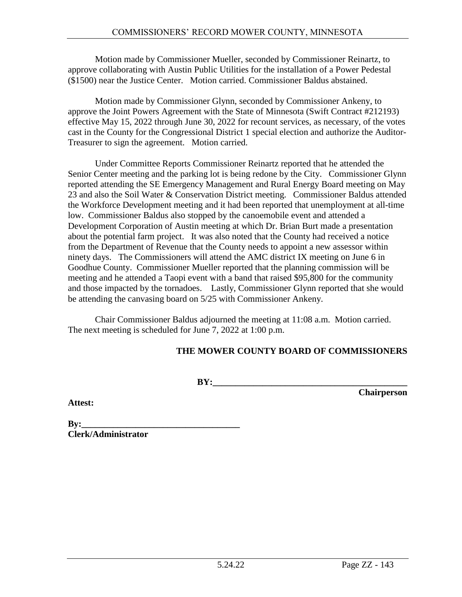Motion made by Commissioner Mueller, seconded by Commissioner Reinartz, to approve collaborating with Austin Public Utilities for the installation of a Power Pedestal (\$1500) near the Justice Center. Motion carried. Commissioner Baldus abstained.

Motion made by Commissioner Glynn, seconded by Commissioner Ankeny, to approve the Joint Powers Agreement with the State of Minnesota (Swift Contract #212193) effective May 15, 2022 through June 30, 2022 for recount services, as necessary, of the votes cast in the County for the Congressional District 1 special election and authorize the Auditor-Treasurer to sign the agreement. Motion carried.

Under Committee Reports Commissioner Reinartz reported that he attended the Senior Center meeting and the parking lot is being redone by the City. Commissioner Glynn reported attending the SE Emergency Management and Rural Energy Board meeting on May 23 and also the Soil Water & Conservation District meeting. Commissioner Baldus attended the Workforce Development meeting and it had been reported that unemployment at all-time low. Commissioner Baldus also stopped by the canoemobile event and attended a Development Corporation of Austin meeting at which Dr. Brian Burt made a presentation about the potential farm project. It was also noted that the County had received a notice from the Department of Revenue that the County needs to appoint a new assessor within ninety days. The Commissioners will attend the AMC district IX meeting on June 6 in Goodhue County. Commissioner Mueller reported that the planning commission will be meeting and he attended a Taopi event with a band that raised \$95,800 for the community and those impacted by the tornadoes. Lastly, Commissioner Glynn reported that she would be attending the canvasing board on 5/25 with Commissioner Ankeny.

Chair Commissioner Baldus adjourned the meeting at 11:08 a.m. Motion carried. The next meeting is scheduled for June 7, 2022 at 1:00 p.m.

### **THE MOWER COUNTY BOARD OF COMMISSIONERS**

**BY:\_\_\_\_\_\_\_\_\_\_\_\_\_\_\_\_\_\_\_\_\_\_\_\_\_\_\_\_\_\_\_\_\_\_\_\_\_\_\_\_\_\_\_**

**Chairperson**

**Attest:**

**By:\_\_\_\_\_\_\_\_\_\_\_\_\_\_\_\_\_\_\_\_\_\_\_\_\_\_\_\_\_\_\_\_\_\_\_ Clerk/Administrator**